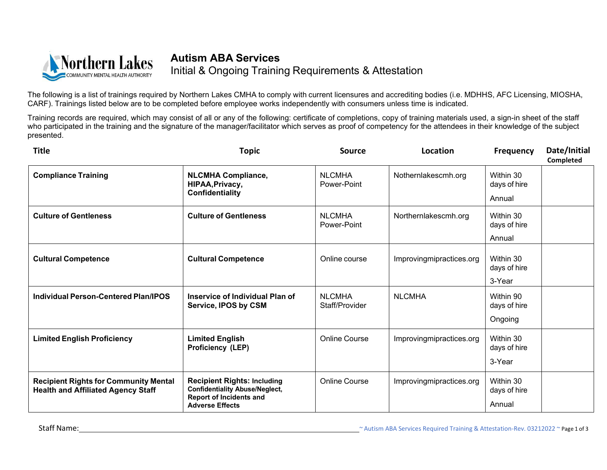

## **Autism ABA Services** Initial & Ongoing Training Requirements & Attestation

The following is a list of trainings required by Northern Lakes CMHA to comply with current licensures and accrediting bodies (i.e. MDHHS, AFC Licensing, MIOSHA, CARF). Trainings listed below are to be completed before employee works independently with consumers unless time is indicated.

Training records are required, which may consist of all or any of the following: certificate of completions, copy of training materials used, a sign-in sheet of the staff who participated in the training and the signature of the manager/facilitator which serves as proof of competency for the attendees in their knowledge of the subject presented.

| <b>Title</b>                                                                              | <b>Topic</b>                                                                                                                            | <b>Source</b>                   | Location                 | <b>Frequency</b>                     | Date/Initial<br>Completed |
|-------------------------------------------------------------------------------------------|-----------------------------------------------------------------------------------------------------------------------------------------|---------------------------------|--------------------------|--------------------------------------|---------------------------|
| <b>Compliance Training</b>                                                                | <b>NLCMHA Compliance,</b><br>HIPAA, Privacy,<br>Confidentiality                                                                         | <b>NLCMHA</b><br>Power-Point    | Nothernlakescmh.org      | Within 30<br>days of hire<br>Annual  |                           |
| <b>Culture of Gentleness</b>                                                              | <b>Culture of Gentleness</b>                                                                                                            | <b>NLCMHA</b><br>Power-Point    | Northernlakescmh.org     | Within 30<br>days of hire<br>Annual  |                           |
| <b>Cultural Competence</b>                                                                | <b>Cultural Competence</b>                                                                                                              | Online course                   | Improvingmipractices.org | Within 30<br>days of hire<br>3-Year  |                           |
| <b>Individual Person-Centered Plan/IPOS</b>                                               | Inservice of Individual Plan of<br><b>Service, IPOS by CSM</b>                                                                          | <b>NLCMHA</b><br>Staff/Provider | <b>NLCMHA</b>            | Within 90<br>days of hire<br>Ongoing |                           |
| <b>Limited English Proficiency</b>                                                        | <b>Limited English</b><br>Proficiency (LEP)                                                                                             | <b>Online Course</b>            | Improvingmipractices.org | Within 30<br>days of hire<br>3-Year  |                           |
| <b>Recipient Rights for Community Mental</b><br><b>Health and Affiliated Agency Staff</b> | <b>Recipient Rights: Including</b><br><b>Confidentiality Abuse/Neglect,</b><br><b>Report of Incidents and</b><br><b>Adverse Effects</b> | <b>Online Course</b>            | Improvingmipractices.org | Within 30<br>days of hire<br>Annual  |                           |

Staff Name: 20212022 ~ Page 1 of 3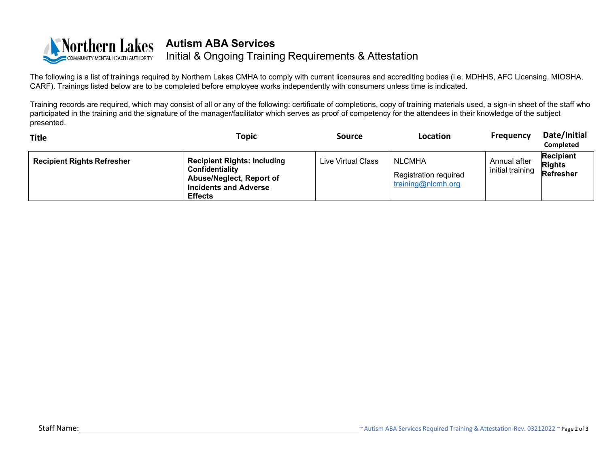

The following is a list of trainings required by Northern Lakes CMHA to comply with current licensures and a[ccrediting](mailto:training@nlcmh.org) bodies (i.e. MDHHS, AFC Licensing, MIOSHA, CARF). Trainings listed below are to be completed before employee works independently with consumers unless time is indicated.

Training records are required, which may consist of all or any of the following: certificate of completions, copy of training materials used, a sign-in sheet of the staff who participated in the training and the signature of the manager/facilitator which serves as proof of competency for the attendees in their knowledge of the subject presented.

| <b>Title</b>                      | Topic                                                                                                                                      | Source             | Location                                                            | <b>Frequency</b>                 | Date/Initial<br><b>Completed</b>               |
|-----------------------------------|--------------------------------------------------------------------------------------------------------------------------------------------|--------------------|---------------------------------------------------------------------|----------------------------------|------------------------------------------------|
| <b>Recipient Rights Refresher</b> | <b>Recipient Rights: Including</b><br>Confidentiality<br><b>Abuse/Neglect, Report of</b><br><b>Incidents and Adverse</b><br><b>Effects</b> | Live Virtual Class | <b>NLCMHA</b><br><b>Registration required</b><br>training@nlcmh.org | Annual after<br>initial training | <b>Recipient</b><br><b>Rights</b><br>Refresher |